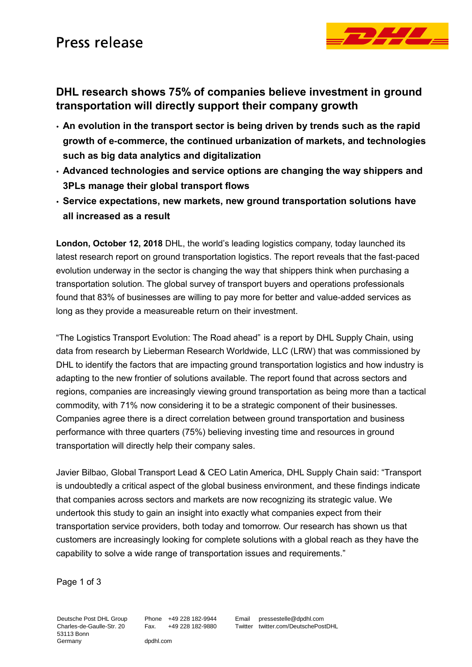

## **DHL research shows 75% of companies believe investment in ground transportation will directly support their company growth**

- **An evolution in the transport sector is being driven by trends such as the rapid growth of e-commerce, the continued urbanization of markets, and technologies such as big data analytics and digitalization**
- **Advanced technologies and service options are changing the way shippers and 3PLs manage their global transport flows**
- **Service expectations, new markets, new ground transportation solutions have all increased as a result**

**London, October 12, 2018** DHL, the world's leading logistics company, today launched its latest research report on ground transportation logistics. The report reveals that the fast-paced evolution underway in the sector is changing the way that shippers think when purchasing a transportation solution. The global survey of transport buyers and operations professionals found that 83% of businesses are willing to pay more for better and value-added services as long as they provide a measureable return on their investment.

"The Logistics Transport Evolution: The Road ahead" is a report by DHL Supply Chain, using data from research by Lieberman Research Worldwide, LLC (LRW) that was commissioned by DHL to identify the factors that are impacting ground transportation logistics and how industry is adapting to the new frontier of solutions available. The report found that across sectors and regions, companies are increasingly viewing ground transportation as being more than a tactical commodity, with 71% now considering it to be a strategic component of their businesses. Companies agree there is a direct correlation between ground transportation and business performance with three quarters (75%) believing investing time and resources in ground transportation will directly help their company sales.

Javier Bilbao, Global Transport Lead & CEO Latin America, DHL Supply Chain said: "Transport is undoubtedly a critical aspect of the global business environment, and these findings indicate that companies across sectors and markets are now recognizing its strategic value. We undertook this study to gain an insight into exactly what companies expect from their transportation service providers, both today and tomorrow. Our research has shown us that customers are increasingly looking for complete solutions with a global reach as they have the capability to solve a wide range of transportation issues and requirements."

Page 1 of 3

Deutsche Post DHL Group Charles-de-Gaulle-Str. 20 53113 Bonn Germany

Phone +49 228 182-9944 Fax. +49 228 182-9880

dpdhl.com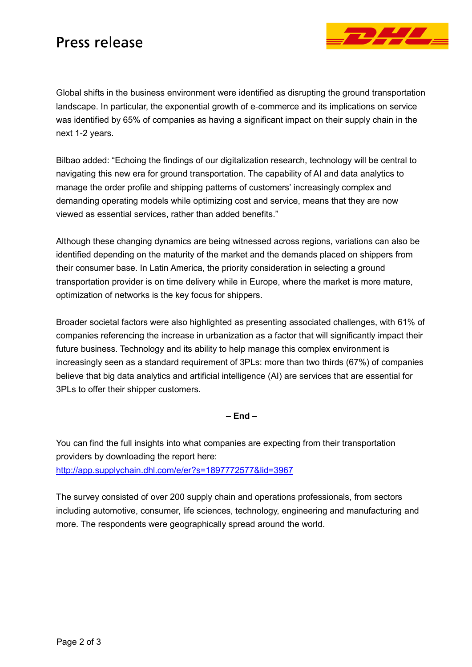## Press release



Global shifts in the business environment were identified as disrupting the ground transportation landscape. In particular, the exponential growth of e-commerce and its implications on service was identified by 65% of companies as having a significant impact on their supply chain in the next 1-2 years.

Bilbao added: "Echoing the findings of our digitalization research, technology will be central to navigating this new era for ground transportation. The capability of AI and data analytics to manage the order profile and shipping patterns of customers' increasingly complex and demanding operating models while optimizing cost and service, means that they are now viewed as essential services, rather than added benefits."

Although these changing dynamics are being witnessed across regions, variations can also be identified depending on the maturity of the market and the demands placed on shippers from their consumer base. In Latin America, the priority consideration in selecting a ground transportation provider is on time delivery while in Europe, where the market is more mature, optimization of networks is the key focus for shippers.

Broader societal factors were also highlighted as presenting associated challenges, with 61% of companies referencing the increase in urbanization as a factor that will significantly impact their future business. Technology and its ability to help manage this complex environment is increasingly seen as a standard requirement of 3PLs: more than two thirds (67%) of companies believe that big data analytics and artificial intelligence (AI) are services that are essential for 3PLs to offer their shipper customers.

**– End –**

You can find the full insights into what companies are expecting from their transportation providers by downloading the report here: <http://app.supplychain.dhl.com/e/er?s=1897772577&lid=3967>

The survey consisted of over 200 supply chain and operations professionals, from sectors including automotive, consumer, life sciences, technology, engineering and manufacturing and more. The respondents were geographically spread around the world.